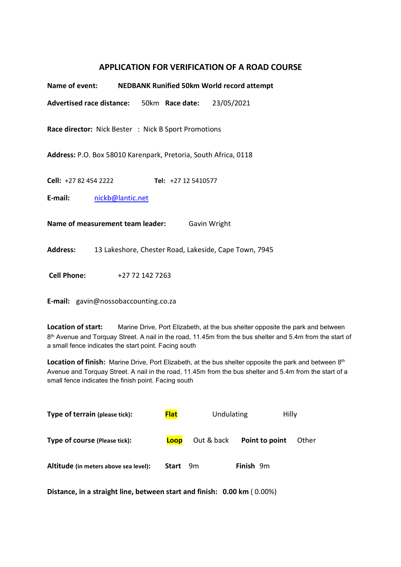## APPLICATION FOR VERIFICATION OF A ROAD COURSE

| Name of event: NEDBANK Runified 50km World record attempt       |                  |                 |                                                      |                                                       |  |  |  |
|-----------------------------------------------------------------|------------------|-----------------|------------------------------------------------------|-------------------------------------------------------|--|--|--|
|                                                                 |                  |                 | Advertised race distance: 50km Race date: 23/05/2021 |                                                       |  |  |  |
| <b>Race director:</b> Nick Bester : Nick B Sport Promotions     |                  |                 |                                                      |                                                       |  |  |  |
| Address: P.O. Box 58010 Karenpark, Pretoria, South Africa, 0118 |                  |                 |                                                      |                                                       |  |  |  |
| <b>Cell:</b> +27 82 454 2222                                    |                  |                 | Tel: +27 12 5410577                                  |                                                       |  |  |  |
| E-mail:                                                         | nickb@lantic.net |                 |                                                      |                                                       |  |  |  |
| Name of measurement team leader:<br>Gavin Wright                |                  |                 |                                                      |                                                       |  |  |  |
| <b>Address:</b>                                                 |                  |                 |                                                      | 13 Lakeshore, Chester Road, Lakeside, Cape Town, 7945 |  |  |  |
| <b>Cell Phone:</b>                                              |                  | +27 72 142 7263 |                                                      |                                                       |  |  |  |

E-mail: gavin@nossobaccounting.co.za

Location of start: Marine Drive, Port Elizabeth, at the bus shelter opposite the park and between  $8<sup>th</sup>$  Avenue and Torquay Street. A nail in the road, 11.45m from the bus shelter and 5.4m from the start of a small fence indicates the start point. Facing south

Location of finish: Marine Drive, Port Elizabeth, at the bus shelter opposite the park and between 8th Avenue and Torquay Street. A nail in the road, 11.45m from the bus shelter and 5.4m from the start of a small fence indicates the finish point. Facing south

| Type of terrain (please tick):        | <b>Flat</b> | Undulating<br>Hilly |                  |       |
|---------------------------------------|-------------|---------------------|------------------|-------|
| Type of course (Please tick):         | Loop        | Out & back          | Point to point   | Other |
| Altitude (in meters above sea level): | Start       | 9m                  | <b>Finish</b> 9m |       |

Distance, in a straight line, between start and finish: 0.00 km ( 0.00%)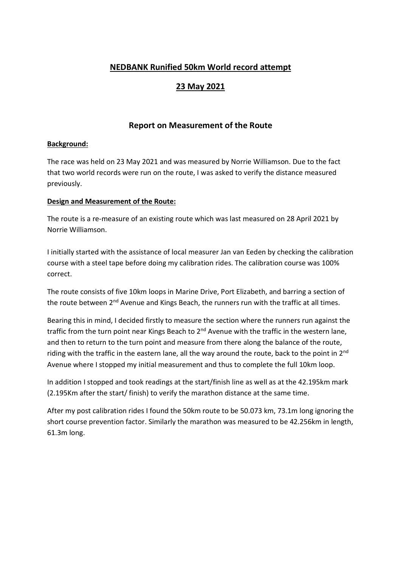# NEDBANK Runified 50km World record attempt

# 23 May 2021

## Report on Measurement of the Route

#### Background:

The race was held on 23 May 2021 and was measured by Norrie Williamson. Due to the fact that two world records were run on the route, I was asked to verify the distance measured previously.

#### Design and Measurement of the Route:

The route is a re-measure of an existing route which was last measured on 28 April 2021 by Norrie Williamson.

I initially started with the assistance of local measurer Jan van Eeden by checking the calibration course with a steel tape before doing my calibration rides. The calibration course was 100% correct.

The route consists of five 10km loops in Marine Drive, Port Elizabeth, and barring a section of the route between 2<sup>nd</sup> Avenue and Kings Beach, the runners run with the traffic at all times.

Bearing this in mind, I decided firstly to measure the section where the runners run against the traffic from the turn point near Kings Beach to 2<sup>nd</sup> Avenue with the traffic in the western lane, and then to return to the turn point and measure from there along the balance of the route, riding with the traffic in the eastern lane, all the way around the route, back to the point in 2<sup>nd</sup> Avenue where I stopped my initial measurement and thus to complete the full 10km loop.

In addition I stopped and took readings at the start/finish line as well as at the 42.195km mark (2.195Km after the start/ finish) to verify the marathon distance at the same time.

After my post calibration rides I found the 50km route to be 50.073 km, 73.1m long ignoring the short course prevention factor. Similarly the marathon was measured to be 42.256km in length, 61.3m long.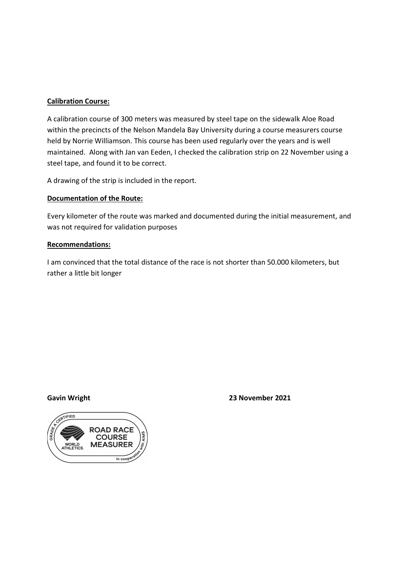### Calibration Course:

A calibration course of 300 meters was measured by steel tape on the sidewalk Aloe Road within the precincts of the Nelson Mandela Bay University during a course measurers course held by Norrie Williamson. This course has been used regularly over the years and is well maintained. Along with Jan van Eeden, I checked the calibration strip on 22 November using a steel tape, and found it to be correct.

A drawing of the strip is included in the report.

### Documentation of the Route:

Every kilometer of the route was marked and documented during the initial measurement, and was not required for validation purposes

#### Recommendations:

I am convinced that the total distance of the race is not shorter than 50.000 kilometers, but rather a little bit longer

Gavin Wright **23 November 2021** 

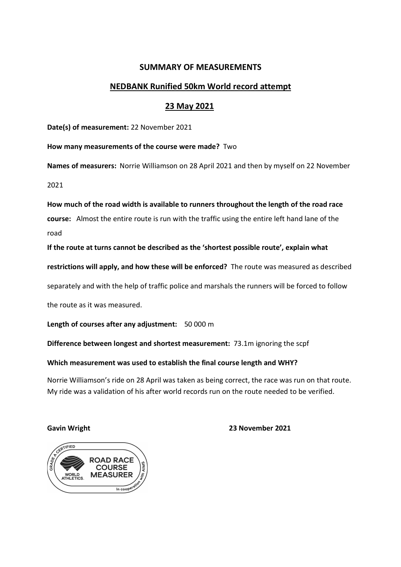## SUMMARY OF MEASUREMENTS

## NEDBANK Runified 50km World record attempt

## 23 May 2021

Date(s) of measurement: 22 November 2021

How many measurements of the course were made? Two

Names of measurers: Norrie Williamson on 28 April 2021 and then by myself on 22 November

2021

How much of the road width is available to runners throughout the length of the road race course: Almost the entire route is run with the traffic using the entire left hand lane of the road

If the route at turns cannot be described as the 'shortest possible route', explain what

restrictions will apply, and how these will be enforced? The route was measured as described

separately and with the help of traffic police and marshals the runners will be forced to follow

the route as it was measured.

Length of courses after any adjustment: 50 000 m

Difference between longest and shortest measurement: 73.1m ignoring the scpf

#### Which measurement was used to establish the final course length and WHY?

Norrie Williamson's ride on 28 April was taken as being correct, the race was run on that route. My ride was a validation of his after world records run on the route needed to be verified.

Gavin Wright **2021** Cavin Wright **2021**